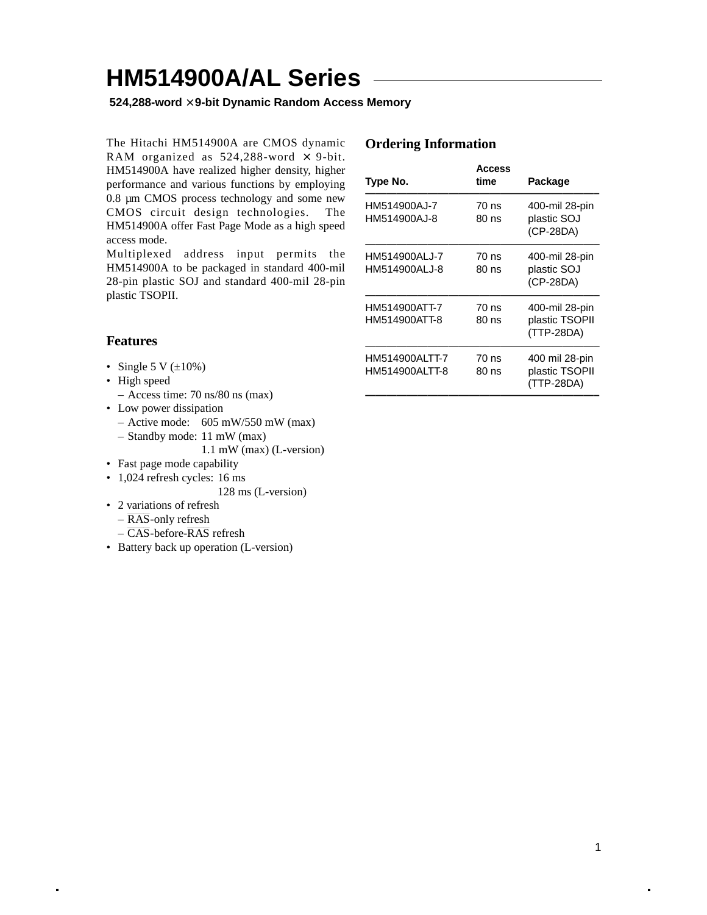**524,288-word** × **9-bit Dynamic Random Access Memory**

The Hitachi HM514900A are CMOS dynamic RAM organized as  $524,288$ -word  $\times$  9-bit. HM514900A have realized higher density, higher performance and various functions by employing 0.8 µm CMOS process technology and some new CMOS circuit design technologies. The HM514900A offer Fast Page Mode as a high speed access mode.

Multiplexed address input permits the HM514900A to be packaged in standard 400-mil 28-pin plastic SOJ and standard 400-mil 28-pin plastic TSOPII.

### **Features**

- Single 5 V  $(\pm 10\%)$
- High speed
	- Access time: 70 ns/80 ns (max)
- Low power dissipation
	- $-$  Active mode: 605 mW/550 mW (max)
	- Standby mode: 11 mW (max)

1.1 mW (max) (L-version)

- Fast page mode capability
- 1,024 refresh cycles: 16 ms

128 ms (L-version)

- 2 variations of refresh
	- RAS-only refresh
	- CAS-before-RAS refresh
- Battery back up operation (L-version)

#### **Ordering Information**

| Access<br>time | Package                                        |
|----------------|------------------------------------------------|
| 70 ns<br>80 ns | 400-mil 28-pin<br>plastic SOJ<br>(CP-28DA)     |
| 70 ns<br>80 ns | 400-mil 28-pin<br>plastic SOJ<br>(CP-28DA)     |
| 70 ns<br>80 ns | 400-mil 28-pin<br>plastic TSOPII<br>(TTP-28DA) |
| 70 ns<br>80 ns | 400 mil 28-pin<br>plastic TSOPII<br>(TTP-28DA) |
|                |                                                |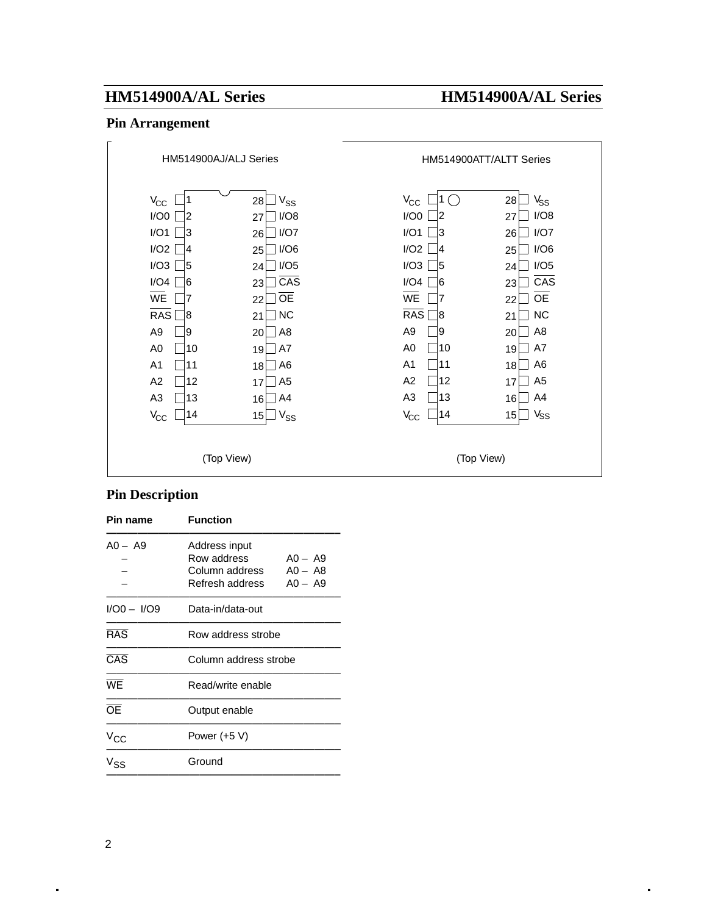### **Pin Arrangement**



### **Pin Description**

| Pin name         | <b>Function</b>                                                   |                                     |  |  |  |  |  |  |
|------------------|-------------------------------------------------------------------|-------------------------------------|--|--|--|--|--|--|
| $AO - A9$        | Address input<br>Row address<br>Column address<br>Refresh address | $AO - A9$<br>$AO - AB$<br>$AO - A9$ |  |  |  |  |  |  |
| $1/00 - 1/09$    | Data-in/data-out                                                  |                                     |  |  |  |  |  |  |
| $\overline{RAS}$ | Row address strobe                                                |                                     |  |  |  |  |  |  |
| $\overline{CAS}$ |                                                                   | Column address strobe               |  |  |  |  |  |  |
| WE               | Read/write enable                                                 |                                     |  |  |  |  |  |  |
| <b>OE</b>        | Output enable                                                     |                                     |  |  |  |  |  |  |
| $V_{\rm CC}$     | Power (+5 V)                                                      |                                     |  |  |  |  |  |  |
| V <sub>SS</sub>  | Ground                                                            |                                     |  |  |  |  |  |  |
|                  |                                                                   |                                     |  |  |  |  |  |  |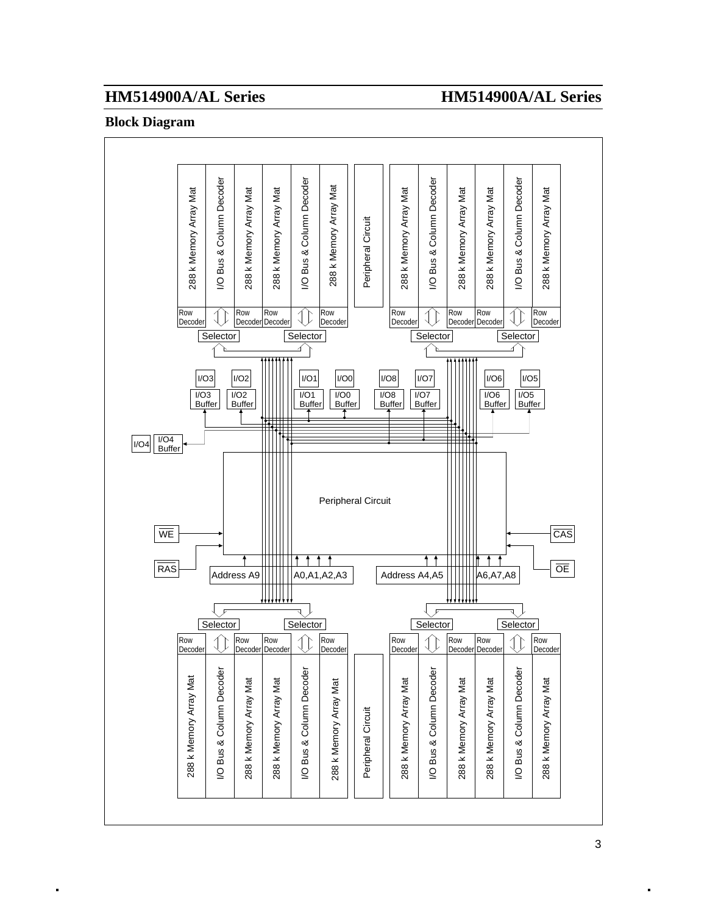### **Block Diagram**

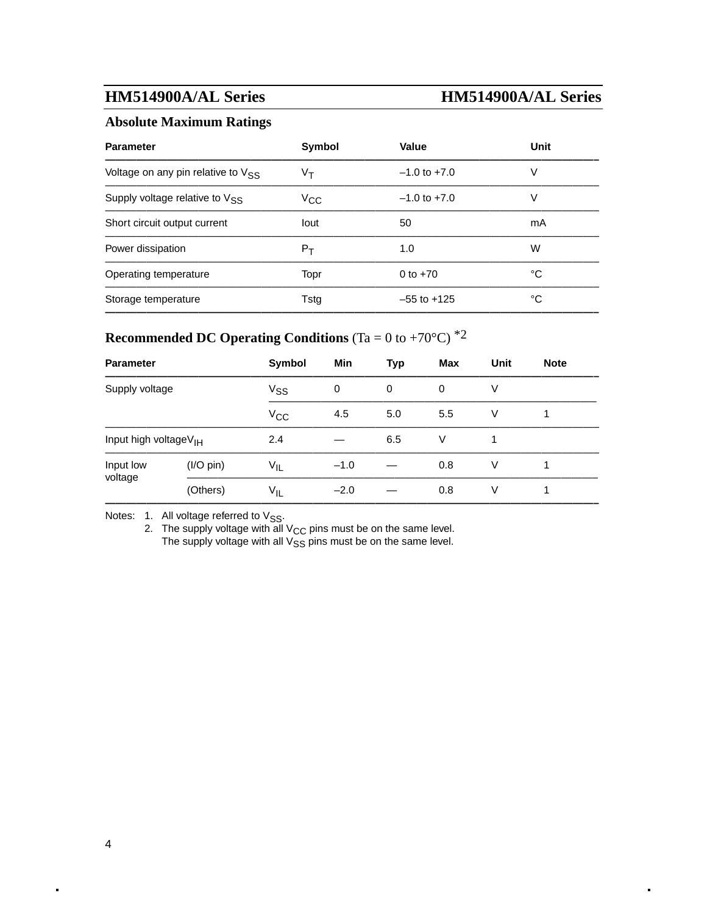### **Absolute Maximum Ratings**

| <b>Parameter</b>                               | Symbol       | Value            | Unit |
|------------------------------------------------|--------------|------------------|------|
| Voltage on any pin relative to V <sub>SS</sub> | Vт           | $-1.0$ to $+7.0$ | V    |
| Supply voltage relative to V <sub>SS</sub>     | $V_{\rm CC}$ | $-1.0$ to $+7.0$ | V    |
| Short circuit output current                   | lout         | 50               | mA   |
| Power dissipation                              | $P_T$        | 1.0              | W    |
| Operating temperature                          | Topr         | 0 to $+70$       | °C   |
| Storage temperature                            | Tstg         | $-55$ to $+125$  | °C   |
|                                                |              |                  |      |

# **Recommended DC Operating Conditions**  $(Ta = 0 \text{ to } +70^{\circ}C)^{*2}$

| <b>Parameter</b>                  |             | Symbol       | Min    | <b>Typ</b> | Max | Unit | <b>Note</b> |  |
|-----------------------------------|-------------|--------------|--------|------------|-----|------|-------------|--|
| Supply voltage                    |             | $V_{SS}$     | 0      | 0          | 0   | V    |             |  |
|                                   |             | $V_{\rm CC}$ | 4.5    | 5.0        | 5.5 | V    |             |  |
| Input high voltageV <sub>IH</sub> |             | 2.4          |        | 6.5        | V   |      |             |  |
| Input low                         | $(I/O$ pin) | $V_{IL}$     | $-1.0$ |            | 0.8 | V    |             |  |
| voltage                           | (Others)    | $V_{\sf IL}$ | $-2.0$ |            | 0.8 | V    |             |  |
|                                   |             |              |        |            |     |      |             |  |

Notes:  $1.$  All voltage referred to  $V_{SS}$ .

2. The supply voltage with all  $V_{\text{CC}}$  pins must be on the same level. The supply voltage with all  $V_{SS}$  pins must be on the same level.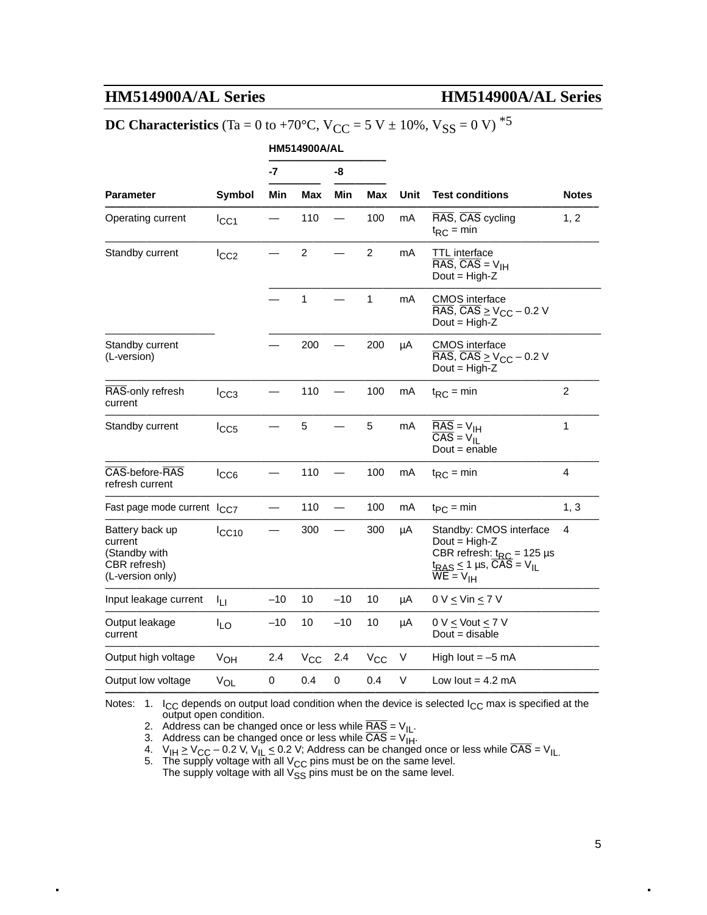# **DC Characteristics** (Ta = 0 to +70°C,  $V_{CC}$  = 5 V  $\pm$  10%,  $V_{SS}$  = 0 V)<sup>\*5</sup>

|                                                                                 |                  |       | <b>HM514900A/AL</b> |       |                |      |                                                                                                                                            |                         |
|---------------------------------------------------------------------------------|------------------|-------|---------------------|-------|----------------|------|--------------------------------------------------------------------------------------------------------------------------------------------|-------------------------|
|                                                                                 |                  | $-7$  |                     | -8    |                |      |                                                                                                                                            |                         |
| <b>Parameter</b>                                                                | Symbol           | Min   | <b>Max</b>          | Min   | <b>Max</b>     | Unit | <b>Test conditions</b>                                                                                                                     | <b>Notes</b>            |
| Operating current                                                               | ICC1             |       | 110                 |       | 100            | mA   | RAS, CAS cycling<br>$t_{RC}$ = min                                                                                                         | 1, 2                    |
| Standby current                                                                 | $I_{CC2}$        |       | $\overline{c}$      |       | $\overline{c}$ | mA   | TTL interface<br>$\overline{\text{RAS}}$ , $\overline{\text{CAS}}$ = $V_{\text{IH}}$<br>Dout = $High-Z$                                    |                         |
|                                                                                 |                  |       | $\mathbf{1}$        |       | $\mathbf{1}$   | mA   | <b>CMOS</b> interface<br>$\overline{\text{RAS}}$ , $\overline{\text{CAS}} \geq V_{\text{CC}} - 0.2 \text{ V}$<br>Dout = $High-Z$           |                         |
| Standby current<br>(L-version)                                                  |                  |       | 200                 |       | 200            | μA   | <b>CMOS</b> interface<br>$\overline{\text{RAS}}$ , $\overline{\text{CAS}} \geq V_{\text{CC}} - 0.2$ V<br>Dout = $High-Z$                   |                         |
| RAS-only refresh<br>current                                                     | $I_{CC3}$        |       | 110                 |       | 100            | mA   | $t_{RC}$ = min                                                                                                                             | $\overline{2}$          |
| Standby current                                                                 | $_{\text{ICC5}}$ |       | 5                   |       | 5              | mA   | $RAS = VIH$<br>$\overline{CAS} = V_{II}$<br>$Dout = enable$                                                                                | $\mathbf{1}$            |
| CAS-before-RAS<br>refresh current                                               | ICC6             |       | 110                 |       | 100            | mA   | $t_{RC}$ = min                                                                                                                             | $\overline{\mathbf{4}}$ |
| Fast page mode current I <sub>CC7</sub>                                         |                  |       | 110                 |       | 100            | mA   | $tpC = min$                                                                                                                                | 1, 3                    |
| Battery back up<br>current<br>(Standby with<br>CBR refresh)<br>(L-version only) | ICC10            |       | 300                 |       | 300            | μA   | Standby: CMOS interface<br>Dout = $High-Z$<br>CBR refresh: $t_{RC}$ = 125 µs<br>$t_{RAS} \le 1$ µs, CAS = V <sub>IL</sub><br>$WE = V_{IH}$ | 4                       |
| Input leakage current                                                           | ĪЦ               | $-10$ | 10                  | $-10$ | 10             | μA   | $0 \vee \leq \vee$ in $\leq 7 \vee$                                                                                                        |                         |
| Output leakage<br>current                                                       | <b>ILO</b>       | $-10$ | 10                  | $-10$ | 10             | μA   | $0 \vee \le$ Vout $\le 7 \vee$<br>Dout $=$ disable                                                                                         |                         |
| Output high voltage                                                             | $V_{OH}$         | 2.4   | $V_{CC}$            | 2.4   | $V_{CC}$       | V    | High lout $= -5$ mA                                                                                                                        |                         |
| Output low voltage                                                              | $V_{OL}$         | 0     | 0.4                 | 0     | 0.4            | V    | Low lout $= 4.2$ mA                                                                                                                        |                         |
|                                                                                 |                  |       |                     |       |                |      |                                                                                                                                            |                         |

Notes: 1.  $I_{CC}$  depends on output load condition when the device is selected  $I_{CC}$  max is specified at the output open condition.

2. Address can be changed once or less while  $\overline{RAS} = V_{IL}$ .

3. Address can be changed once or less while  $CAS = V_{\text{IH}}$ .

4.  $V_{\text{I}} \ge V_{\text{CC}} - 0.2$  V,  $V_{\text{I}} \le 0.2$  V; Address can be changed once or less while CAS =  $V_{\text{I}}$ 

5. The supply voltage with all  $V_{CC}$  pins must be on the same level. The supply voltage with all  $V_{\text{CS}}$  pins must be on the same level.<br>The supply voltage with all  $V_{\text{SS}}$  pins must be on the same level.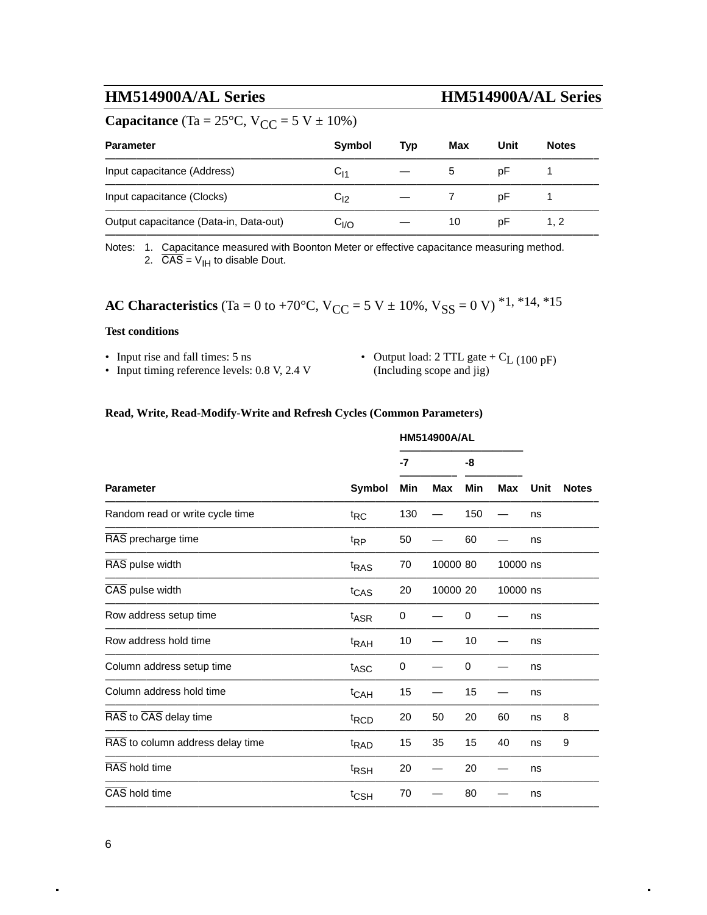## **Capacitance** (Ta =  $25^{\circ}$ C, V<sub>CC</sub> =  $5$  V  $\pm$  10%)

| <b>Parameter</b>                       | Symbol            | Tvp | Max | Unit | <b>Notes</b> |
|----------------------------------------|-------------------|-----|-----|------|--------------|
| Input capacitance (Address)            | $C_{11}$          |     | 5.  | рF   |              |
| Input capacitance (Clocks)             | $\mathrm{C_{12}}$ |     |     | рF   |              |
| Output capacitance (Data-in, Data-out) | C <sub>I/O</sub>  |     | 10  | рF   | 1.2          |
|                                        |                   |     |     |      |              |

Notes: 1. Capacitance measured with Boonton Meter or effective capacitance measuring method. 2.  $\overline{CAS} = V_{\text{IH}}$  to disable Dout.

**AC Characteristics** (Ta = 0 to +70°C, V<sub>CC</sub> = 5 V  $\pm$  10%, V<sub>SS</sub> = 0 V)<sup>\*1,\*14,\*15</sup>

#### **Test conditions**

- 
- Input rise and fall times: 5 ns Output load: 2 TTL gate +  $C_{L}$  (100 pF) Input timing reference levels: 0.8 V, 2.4 V (Including scope and jig)

#### **Read, Write, Read-Modify-Write and Refresh Cycles (Common Parameters)**

|                                  |                  | <b>HM514900A/AL</b> |            |     |            |      |              |
|----------------------------------|------------------|---------------------|------------|-----|------------|------|--------------|
|                                  |                  | -7                  |            | -8  |            |      |              |
| <b>Parameter</b>                 | <b>Symbol</b>    | Min                 | <b>Max</b> | Min | <b>Max</b> | Unit | <b>Notes</b> |
| Random read or write cycle time  | $t_{RC}$         | 130                 |            | 150 |            | ns   |              |
| RAS precharge time               | $t_{RP}$         | 50                  |            | 60  |            | ns   |              |
| RAS pulse width                  | t <sub>RAS</sub> | 70                  | 10000 80   |     | 10000 ns   |      |              |
| CAS pulse width                  | t <sub>CAS</sub> | 20                  | 10000 20   |     | 10000 ns   |      |              |
| Row address setup time           | t <sub>ASR</sub> | 0                   |            | 0   |            | ns   |              |
| Row address hold time            | <sup>t</sup> RAH | 10                  |            | 10  |            | ns   |              |
| Column address setup time        | t <sub>ASC</sub> | 0                   |            | 0   |            | ns   |              |
| Column address hold time         | t <sub>CAH</sub> | 15                  |            | 15  |            | ns   |              |
| RAS to CAS delay time            | <sup>t</sup> RCD | 20                  | 50         | 20  | 60         | ns   | 8            |
| RAS to column address delay time | <sup>t</sup> RAD | 15                  | 35         | 15  | 40         | ns   | 9            |
| RAS hold time                    | <sup>t</sup> RSH | 20                  |            | 20  |            | ns   |              |
| CAS hold time                    | $t_{\text{CSH}}$ | 70                  |            | 80  |            | ns   |              |
|                                  |                  |                     |            |     |            |      |              |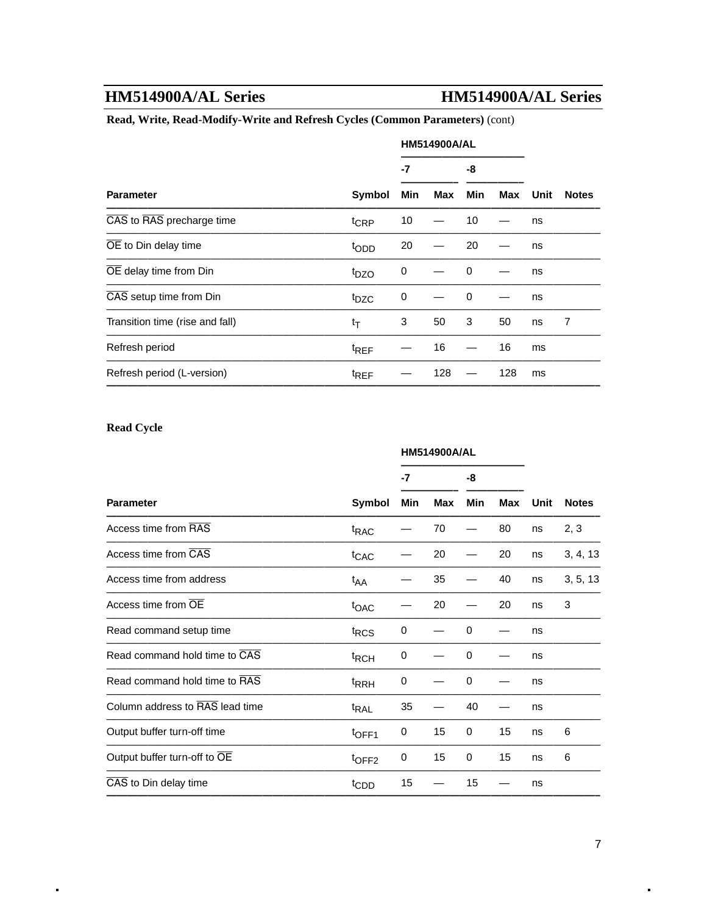#### **Read, Write, Read-Modify-Write and Refresh Cycles (Common Parameters)** (cont)

|                                 |                  | <b>HM514900A/AL</b> |     |          |     |      |              |
|---------------------------------|------------------|---------------------|-----|----------|-----|------|--------------|
|                                 | Symbol           | -7                  |     | -8       |     |      |              |
| <b>Parameter</b>                |                  | Min                 | Max | Min      | Max | Unit | <b>Notes</b> |
| CAS to RAS precharge time       | t <sub>CRP</sub> | 10                  |     | 10       |     | ns   |              |
| OE to Din delay time            | topp             | 20                  |     | 20       |     | ns   |              |
| OE delay time from Din          | t <sub>DZO</sub> | 0                   |     | $\Omega$ |     | ns   |              |
| CAS setup time from Din         | t <sub>DZC</sub> | 0                   |     | $\Omega$ |     | ns   |              |
| Transition time (rise and fall) | $t_T$            | 3                   | 50  | 3        | 50  | ns   | 7            |
| Refresh period                  | <sup>t</sup> REF |                     | 16  |          | 16  | ms   |              |
| Refresh period (L-version)      | <sup>t</sup> REF |                     | 128 |          | 128 | ms   |              |
|                                 |                  |                     |     |          |     |      |              |

#### **Read Cycle**

|                                 |                   |     | <b>HM514900A/AL</b> |             |            |             |              |
|---------------------------------|-------------------|-----|---------------------|-------------|------------|-------------|--------------|
|                                 |                   | -7  |                     |             |            | -8          |              |
| <b>Parameter</b>                | <b>Symbol</b>     | Min | <b>Max</b>          | Min         | <b>Max</b> | <b>Unit</b> | <b>Notes</b> |
| Access time from RAS            | <sup>t</sup> RAC  |     | 70                  |             | 80         | ns          | 2, 3         |
| Access time from CAS            | t <sub>CAC</sub>  |     | 20                  |             | 20         | ns          | 3, 4, 13     |
| Access time from address        | t <sub>AA</sub>   |     | 35                  |             | 40         | ns          | 3, 5, 13     |
| Access time from OE             | toac              |     | 20                  |             | 20         | ns          | 3            |
| Read command setup time         | t <sub>RCS</sub>  | 0   |                     | 0           |            | ns          |              |
| Read command hold time to CAS   | <sup>t</sup> RCH  | 0   |                     | 0           |            | ns          |              |
| Read command hold time to RAS   | t <sub>RRH</sub>  | 0   |                     | $\mathbf 0$ |            | ns          |              |
| Column address to RAS lead time | <sup>t</sup> RAL  | 35  |                     | 40          |            | ns          |              |
| Output buffer turn-off time     | t <sub>OFF1</sub> | 0   | 15                  | 0           | 15         | ns          | 6            |
| Output buffer turn-off to OE    | t <sub>OFF2</sub> | 0   | 15                  | 0           | 15         | ns          | 6            |
| CAS to Din delay time           | t <sub>CDD</sub>  | 15  |                     | 15          |            | ns          |              |
|                                 |                   |     |                     |             |            |             |              |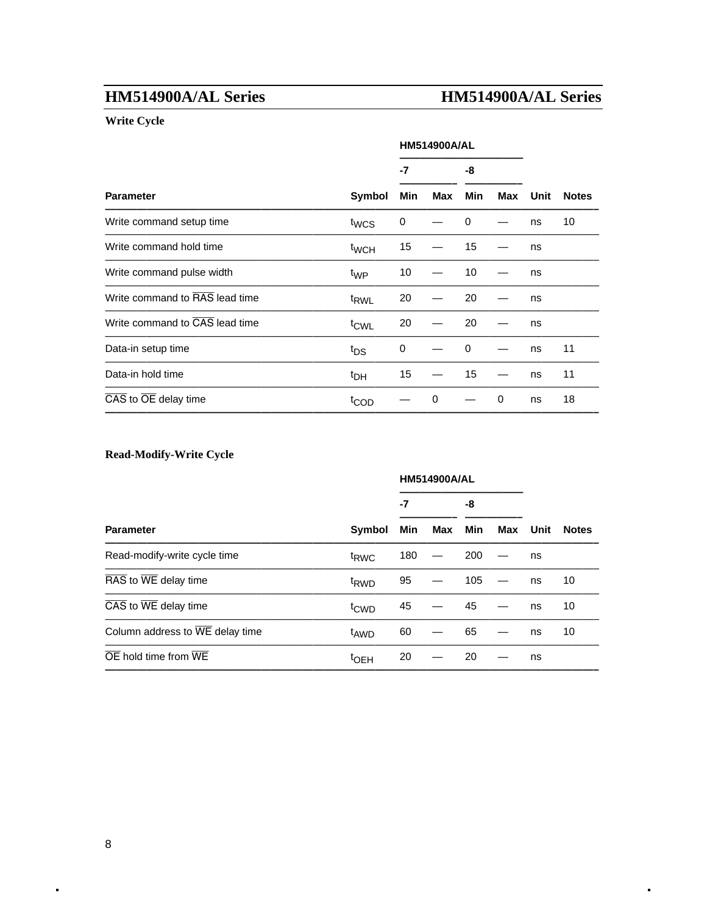### **Write Cycle**

|                                                |                  | <b>HM514900A/AL</b> |     |          |     |      |              |
|------------------------------------------------|------------------|---------------------|-----|----------|-----|------|--------------|
|                                                |                  | -7                  |     | -8       |     |      |              |
| <b>Parameter</b>                               | Symbol           | Min                 | Max | Min      | Max | Unit | <b>Notes</b> |
| Write command setup time                       | twcs             | 0                   |     | $\Omega$ |     | ns   | 10           |
| Write command hold time                        | t <sub>WCH</sub> | 15                  |     | 15       |     | ns   |              |
| Write command pulse width                      | t <sub>WP</sub>  | 10                  |     | 10       |     | ns   |              |
| Write command to RAS lead time                 | t <sub>RWL</sub> | 20                  |     | 20       |     | ns   |              |
| Write command to CAS lead time                 | <sup>t</sup> CWL | 20                  |     | 20       |     | ns   |              |
| Data-in setup time                             | t <sub>DS</sub>  | 0                   |     | 0        |     | ns   | 11           |
| Data-in hold time                              | <sup>t</sup> DH  | 15                  |     | 15       |     | ns   | 11           |
| $\overline{CAS}$ to $\overline{OE}$ delay time | t <sub>COD</sub> |                     | 0   |          | 0   | ns   | 18           |
|                                                |                  |                     |     |          |     |      |              |

### **Read-Modify-Write Cycle**

|                                                | Symbol           |     | <b>HM514900A/AL</b> |            |     |      |              |
|------------------------------------------------|------------------|-----|---------------------|------------|-----|------|--------------|
|                                                |                  | -7  |                     | -8         |     |      |              |
| <b>Parameter</b>                               |                  | Min | Max                 | <b>Min</b> | Max | Unit | <b>Notes</b> |
| Read-modify-write cycle time                   | t <sub>RWC</sub> | 180 |                     | 200        |     | ns   |              |
| RAS to WE delay time                           | <sup>t</sup> RWD | 95  |                     | 105        |     | ns   | 10           |
| $\overline{CAS}$ to $\overline{WE}$ delay time | t <sub>CWD</sub> | 45  |                     | 45         |     | ns   | 10           |
| Column address to WE delay time                | t <sub>AWD</sub> | 60  |                     | 65         |     | ns   | 10           |
| $\overline{OE}$ hold time from $\overline{WE}$ | <sup>t</sup> OEH | 20  |                     | 20         |     | ns   |              |
|                                                |                  |     |                     |            |     |      |              |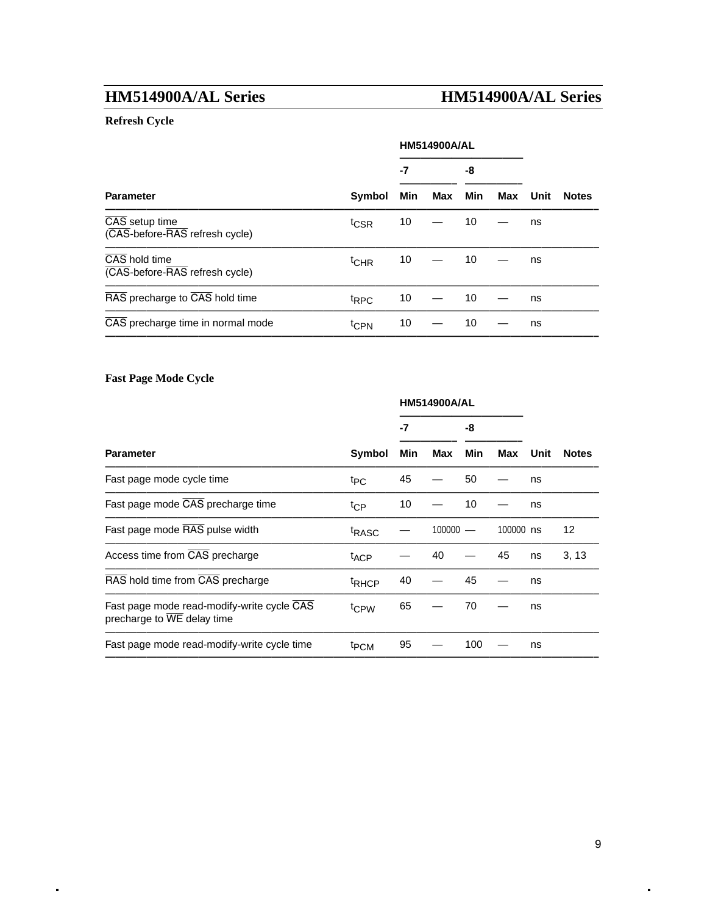### **Refresh Cycle**

|                                                  |                  |     | <b>HM514900A/AL</b> |     |     |      |              |
|--------------------------------------------------|------------------|-----|---------------------|-----|-----|------|--------------|
|                                                  | <b>Symbol</b>    | -7  |                     | -8  |     |      |              |
| <b>Parameter</b>                                 |                  | Min | Max                 | Min | Max | Unit | <b>Notes</b> |
| CAS setup time<br>(CAS-before-RAS refresh cycle) | t <sub>CSR</sub> | 10  |                     | 10  |     | ns   |              |
| CAS hold time<br>(CAS-before-RAS refresh cycle)  | t <sub>CHR</sub> | 10  |                     | 10  |     | ns   |              |
| RAS precharge to CAS hold time                   | <sup>t</sup> RPC | 10  |                     | 10  |     | ns   |              |
| CAS precharge time in normal mode                | t <sub>CPN</sub> | 10  |                     | 10  |     | ns   |              |
|                                                  |                  |     |                     |     |     |      |              |

### **Fast Page Mode Cycle**

|                   | <b>HM514900A/AL</b> |     |     |        |      |              |
|-------------------|---------------------|-----|-----|--------|------|--------------|
|                   | -7                  |     | -8  |        |      |              |
| Symbol            | Min                 | Max | Min | Max    | Unit | <b>Notes</b> |
| $t_{PC}$          | 45                  |     | 50  |        | ns   |              |
| $t_{\text{CP}}$   | 10                  |     | 10  |        | ns   |              |
| <sup>t</sup> RASC |                     |     |     |        |      | 12           |
| <sup>t</sup> ACP  |                     | 40  |     | 45     | ns   | 3, 13        |
| <sup>t</sup> RHCP | 40                  |     | 45  |        | ns   |              |
| <sup>t</sup> CPW  | 65                  |     | 70  |        | ns   |              |
| <sup>t</sup> PCM  | 95                  |     | 100 |        | ns   |              |
|                   |                     |     |     | 100000 |      | 100000 ns    |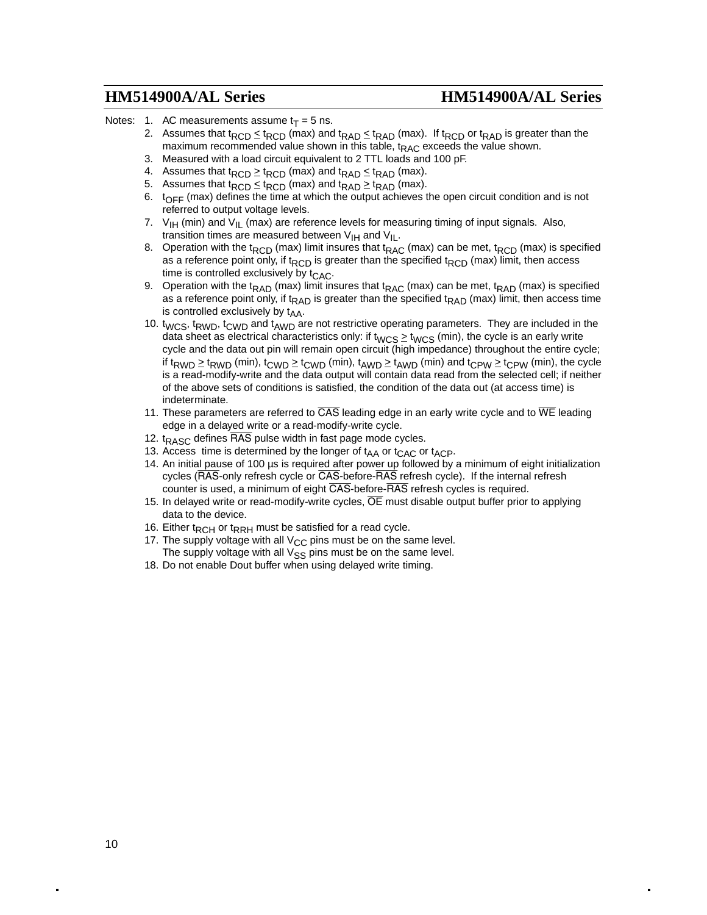- Notes: 1. AC measurements assume  $t_T = 5$  ns.
	- 2. Assumes that t<sub>RCD</sub>  $\leq$  t<sub>RCD</sub> (max) and t<sub>RAD</sub>  $\leq$  t<sub>RAD</sub> (max). If t<sub>RCD</sub> or t<sub>RAD</sub> is greater than the maximum recommended value shown in this table,  $t_{RAC}$  exceeds the value shown.
	- 3. Measured with a load circuit equivalent to 2 TTL loads and 100 pF.
	- 4. Assumes that  $t_{\text{RCD}} \geq t_{\text{RCD}}$  (max) and  $t_{\text{RAD}} \leq t_{\text{RAD}}$  (max).
	- 5. Assumes that  $t_{RCD} \leq t_{RCD}$  (max) and  $t_{RAD} \geq t_{RAD}$  (max).
	- 6.  $t_{\text{OFF}}$  (max) defines the time at which the output achieves the open circuit condition and is not referred to output voltage levels.
	- 7.  $V_{\text{IH}}$  (min) and  $V_{\text{IL}}$  (max) are reference levels for measuring timing of input signals. Also, transition times are measured between  $V_{\text{H}}$  and  $V_{\text{H}}$ .
	- 8. Operation with the t<sub>RCD</sub> (max) limit insures that t<sub>RAC</sub> (max) can be met, t<sub>RCD</sub> (max) is specified as a reference point only, if  $t_{RCD}$  is greater than the specified  $t_{RCD}$  (max) limit, then access time is controlled exclusively by  $t_{CAC}$ .
	- 9. Operation with the t<sub>RAD</sub> (max) limit insures that t<sub>RAC</sub> (max) can be met, t<sub>RAD</sub> (max) is specified as a reference point only, if t<sub>RAD</sub> is greater than the specified t<sub>RAD</sub> (max) limit, then access time is controlled exclusively by  $t_{AA}$ .
	- 10. t<sub>WCS</sub>, t<sub>RWD</sub>, t<sub>CWD</sub> and t<sub>AWD</sub> are not restrictive operating parameters. They are included in the data sheet as electrical characteristics only: if t<sub>WCS</sub>  $\geq$  t<sub>WCS</sub> (min), the cycle is an early write cycle and the data out pin will remain open circuit (high impedance) throughout the entire cycle; if t<sub>RWD</sub>  $\geq$  t<sub>RWD</sub> (min), t<sub>CWD</sub>  $\geq$  t<sub>CWD</sub> (min), t<sub>AWD</sub>  $\geq$  t<sub>AWD</sub> (min) and t<sub>CPW</sub>  $\geq$  t<sub>CPW</sub> (min), the cycle is a read-modify-write and the data output will contain data read from the selected cell; if neither of the above sets of conditions is satisfied, the condition of the data out (at access time) is indeterminate.
	- 11. These parameters are referred to  $\overline{\text{CAS}}$  leading edge in an early write cycle and to  $\overline{\text{WE}}$  leading edge in a delayed write or a read-modify-write cycle.
	- 12.  $t_{RASC}$  defines  $\overline{RAS}$  pulse width in fast page mode cycles.
	- 13. Access time is determined by the longer of  $t_{AA}$  or  $t_{CAC}$  or  $t_{ACP}$ .
	- 14. An initial pause of 100 µs is required after power up followed by a minimum of eight initialization cycles (RAS-only refresh cycle or CAS-before-RAS refresh cycle). If the internal refresh counter is used, a minimum of eight CAS-before-RAS refresh cycles is required.
	- 15. In delayed write or read-modify-write cycles,  $\overline{OE}$  must disable output buffer prior to applying data to the device.
	- 16. Either t<sub>RCH</sub> or t<sub>RRH</sub> must be satisfied for a read cycle.
	- 17. The supply voltage with all  $V_{CC}$  pins must be on the same level. The supply voltage with all  $V_{SS}$  pins must be on the same level.
	- 18. Do not enable Dout buffer when using delayed write timing.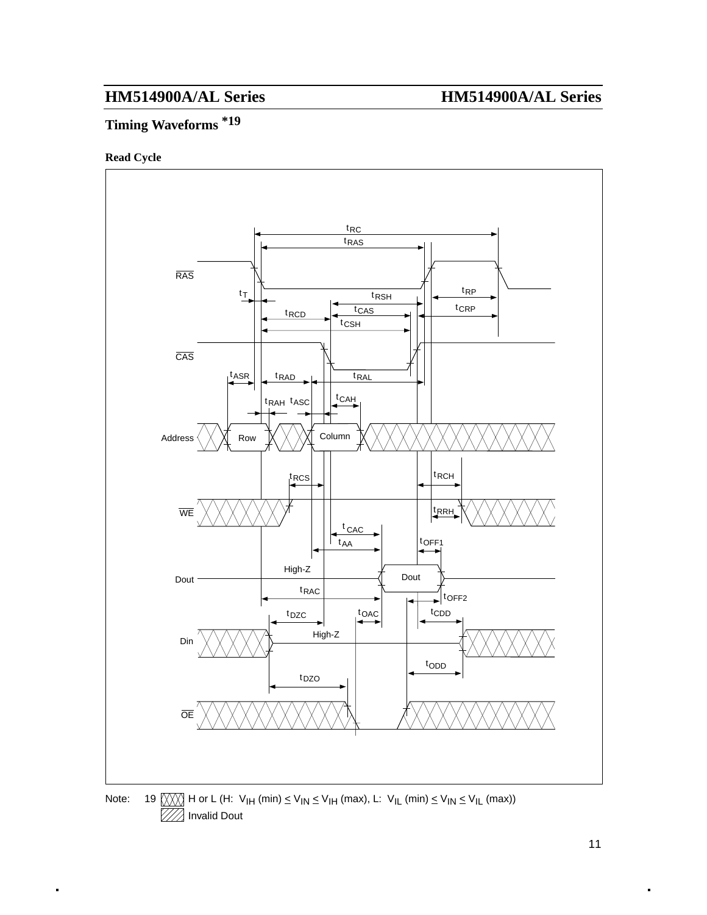Invalid Dout

Z

# **Timing Waveforms \*19**

#### **Read Cycle**



11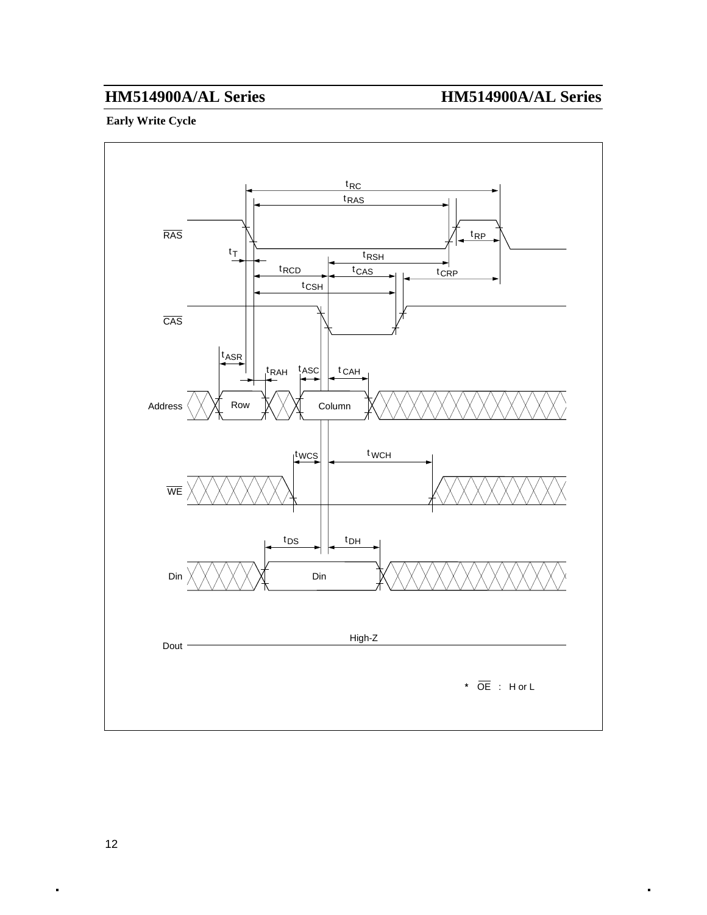### **Early Write Cycle**

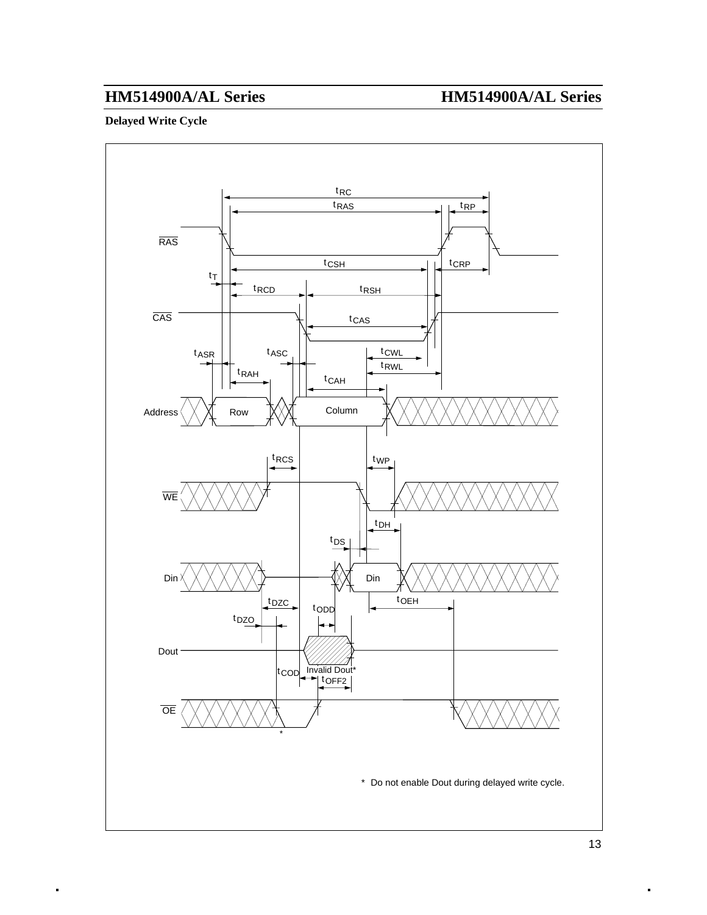#### **Delayed Write Cycle**

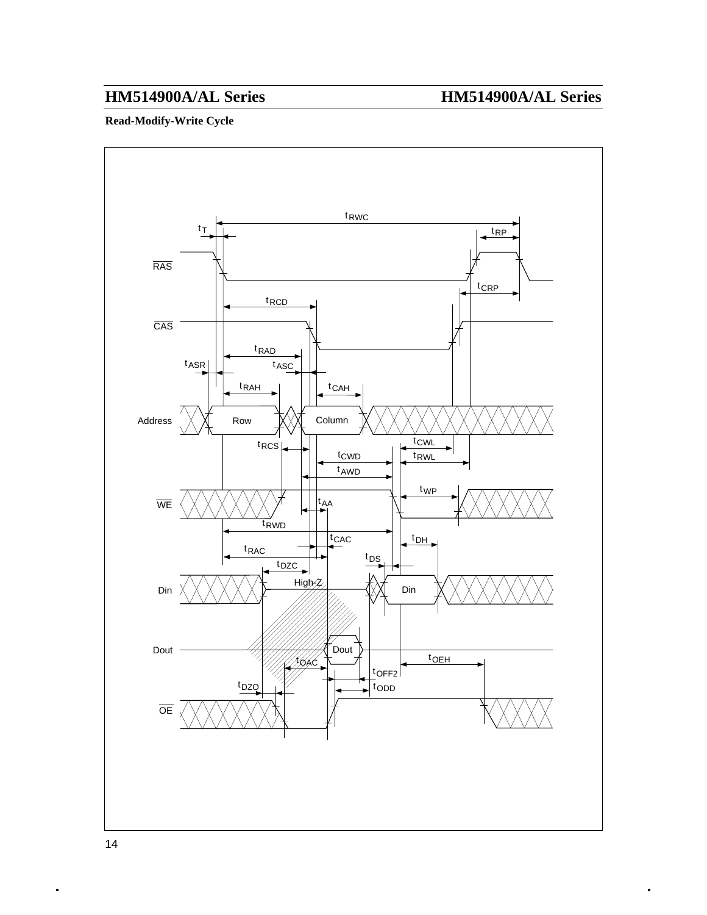### **Read-Modify-Write Cycle**

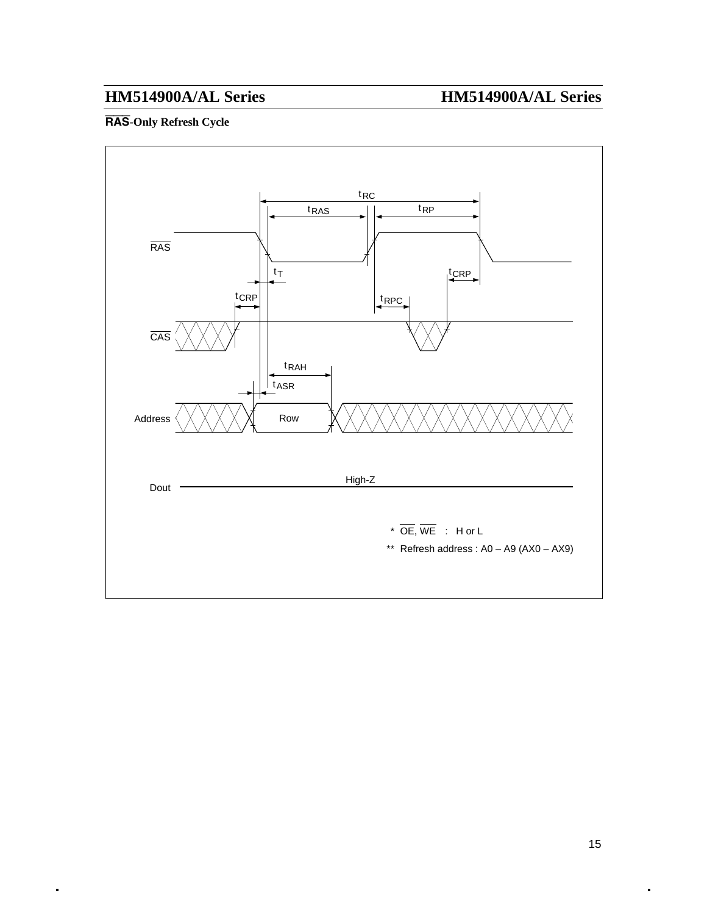### **RAS-Only Refresh Cycle**

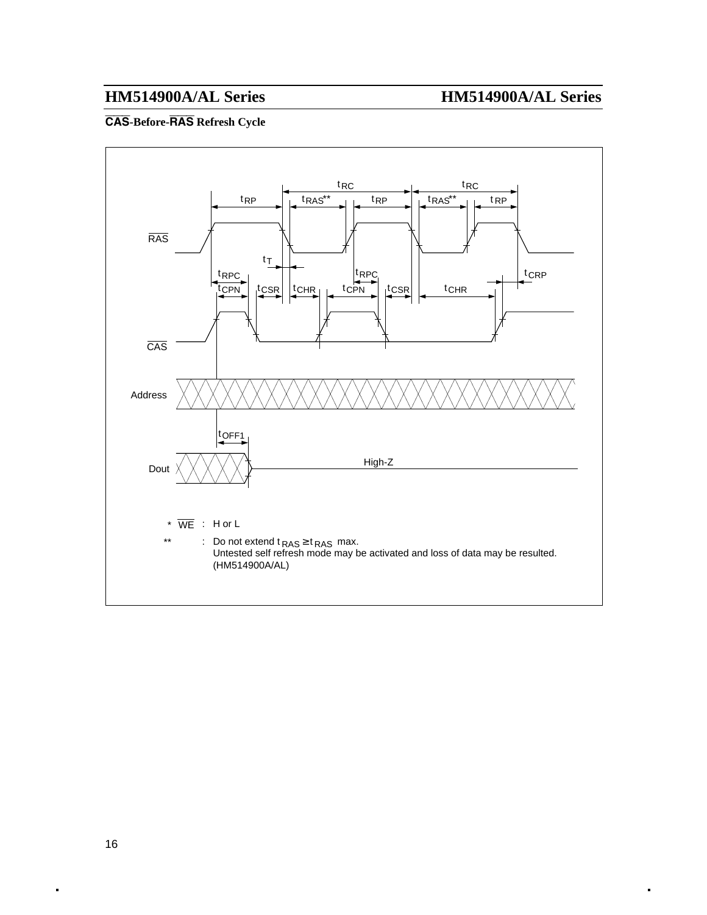### **CAS-Before-RAS Refresh Cycle**

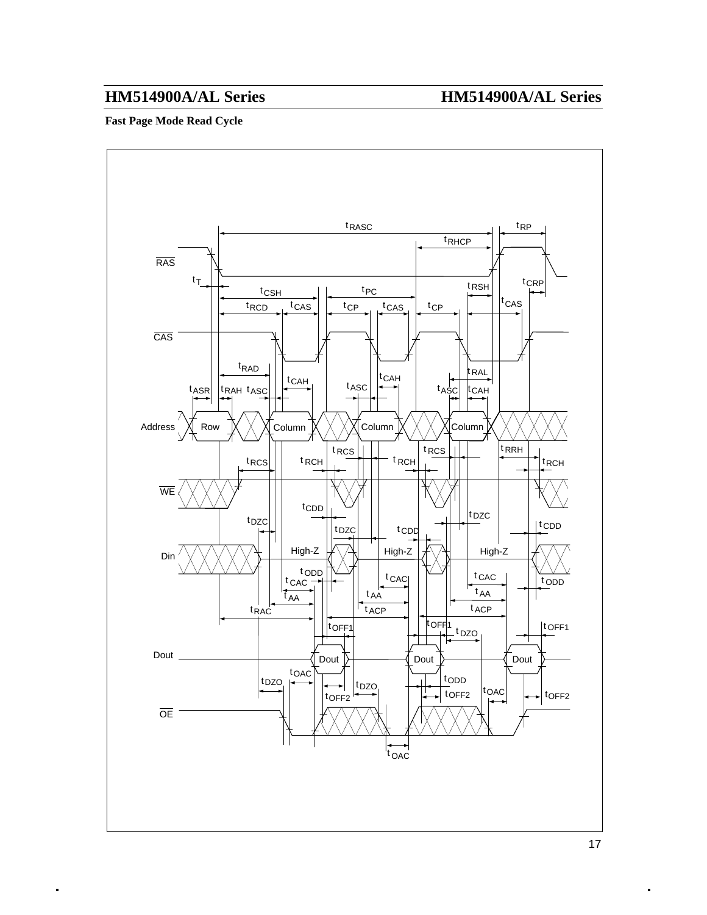#### **Fast Page Mode Read Cycle**

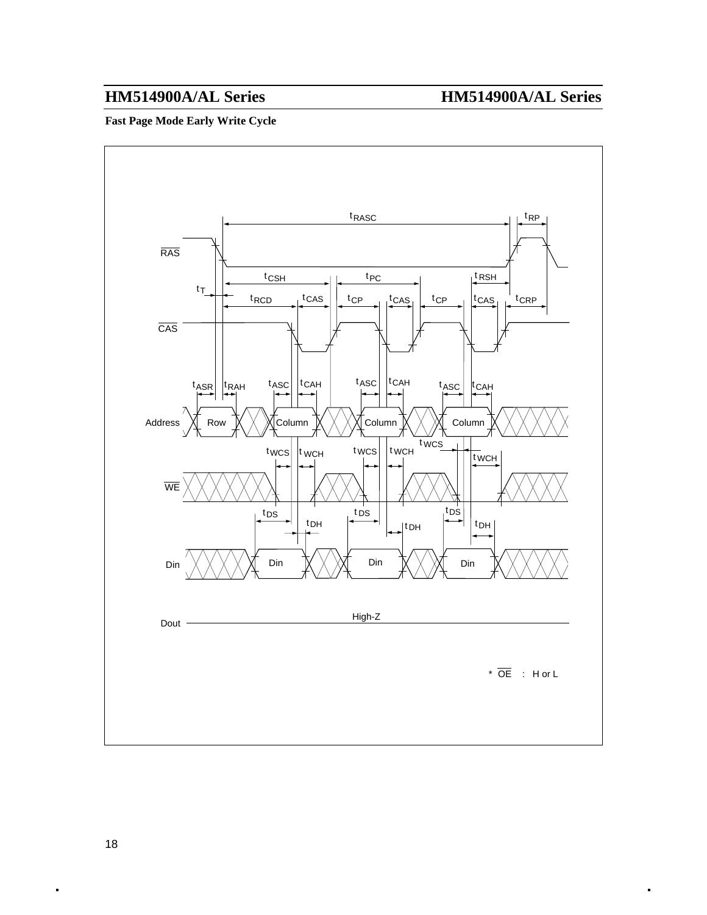### **Fast Page Mode Early Write Cycle**

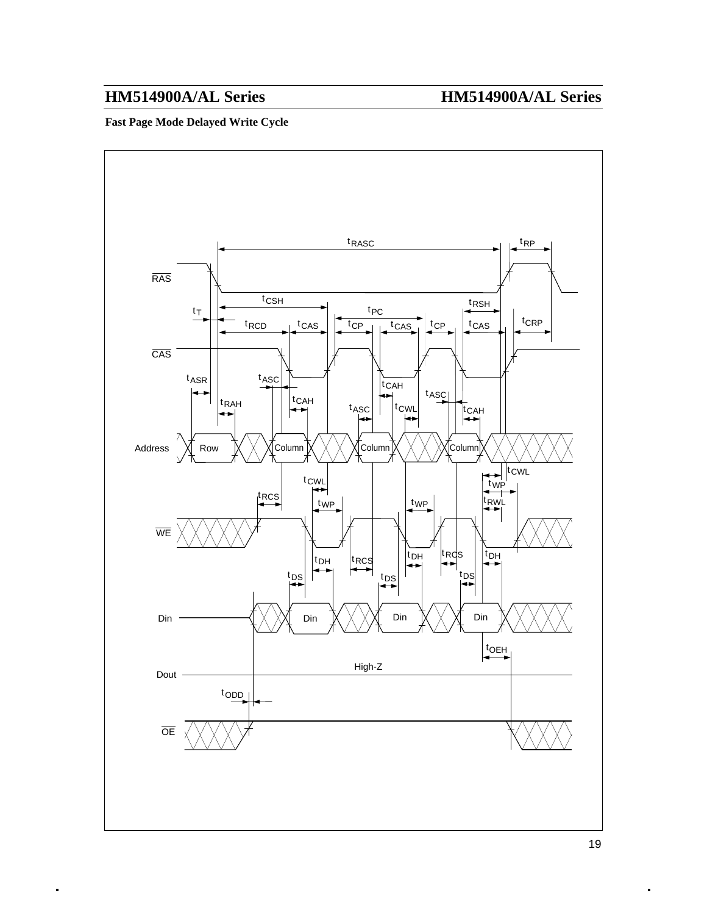### **Fast Page Mode Delayed Write Cycle**